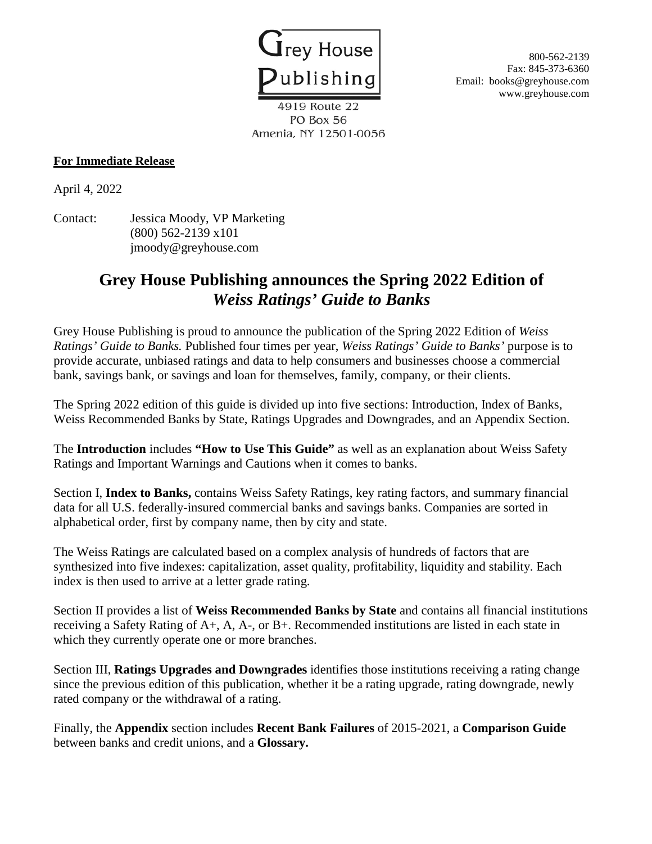

Fax: 845-373-6360 Email: books@greyhouse.com www.greyhouse.com

4919 Route 22 PO Box 56 Amenia, NY 12501-0056

## **For Immediate Release**

April 4, 2022

Contact: Jessica Moody, VP Marketing (800) 562-2139 x101 jmoody@greyhouse.com

## **Grey House Publishing announces the Spring 2022 Edition of**  *Weiss Ratings' Guide to Banks*

Grey House Publishing is proud to announce the publication of the Spring 2022 Edition of *Weiss Ratings' Guide to Banks.* Published four times per year, *Weiss Ratings' Guide to Banks'* purpose is to provide accurate, unbiased ratings and data to help consumers and businesses choose a commercial bank, savings bank, or savings and loan for themselves, family, company, or their clients.

The Spring 2022 edition of this guide is divided up into five sections: Introduction, Index of Banks, Weiss Recommended Banks by State, Ratings Upgrades and Downgrades, and an Appendix Section.

The **Introduction** includes **"How to Use This Guide"** as well as an explanation about Weiss Safety Ratings and Important Warnings and Cautions when it comes to banks.

Section I, **Index to Banks,** contains Weiss Safety Ratings, key rating factors, and summary financial data for all U.S. federally-insured commercial banks and savings banks. Companies are sorted in alphabetical order, first by company name, then by city and state.

The Weiss Ratings are calculated based on a complex analysis of hundreds of factors that are synthesized into five indexes: capitalization, asset quality, profitability, liquidity and stability. Each index is then used to arrive at a letter grade rating.

Section II provides a list of **Weiss Recommended Banks by State** and contains all financial institutions receiving a Safety Rating of A+, A, A-, or B+. Recommended institutions are listed in each state in which they currently operate one or more branches.

Section III, **Ratings Upgrades and Downgrades** identifies those institutions receiving a rating change since the previous edition of this publication, whether it be a rating upgrade, rating downgrade, newly rated company or the withdrawal of a rating.

Finally, the **Appendix** section includes **Recent Bank Failures** of 2015-2021, a **Comparison Guide** between banks and credit unions, and a **Glossary.**